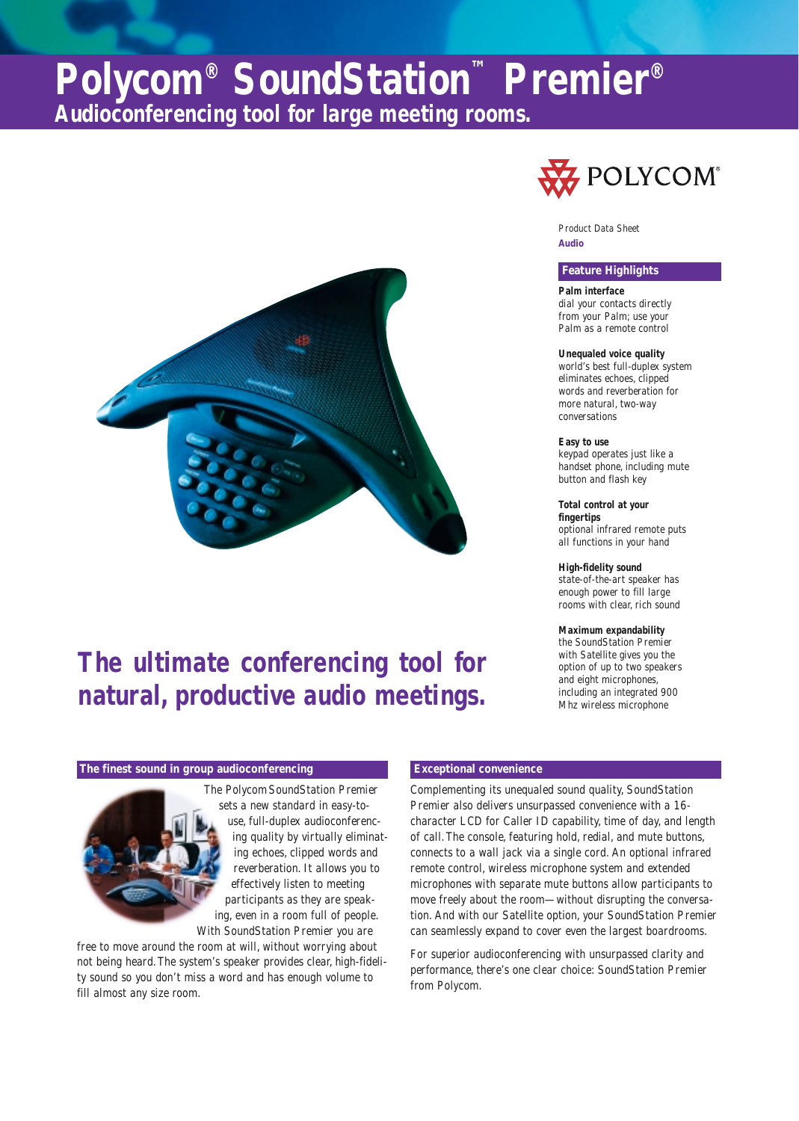# **Polycom® SoundStation™ Premier® Audioconferencing tool for large meeting rooms.**



## **The ultimate conferencing tool for natural, productive audio meetings.**

### **The finest sound in group audioconferencing Exceptional convenience**

The Polycom SoundStation Premier sets a new standard in easy-touse, full-duplex audioconferencing quality by virtually eliminating echoes, clipped words and reverberation. It allows you to effectively listen to meeting participants as they are speaking, even in a room full of people. With SoundStation Premier you are

free to move around the room at will, without worrying about not being heard.The system's speaker provides clear, high-fidelity sound so you don't miss a word and has enough volume to fill almost any size room.



**Audio** Product Data Sheet

### **Feature Highlights**

**Palm interface** dial your contacts directly from your Palm; use your Palm as a remote control

### **Unequaled voice quality**

world's best full-duplex system eliminates echoes, clipped words and reverberation for more natural, two-way conversations

**Easy to use** keypad operates just like a handset phone, including mute button and flash key

**Total control at your fingertips** optional infrared remote puts all functions in your hand

**High-fidelity sound** state-of-the-art speaker has enough power to fill large rooms with clear, rich sound

**Maximum expandability** the SoundStation Premier with Satellite gives you the option of up to two speakers and eight microphones, including an integrated 900 Mhz wireless microphone

Complementing its unequaled sound quality, SoundStation Premier also delivers unsurpassed convenience with a 16 character LCD for Caller ID capability, time of day, and length of call.The console, featuring hold, redial, and mute buttons, connects to a wall jack via a single cord. An optional infrared remote control, wireless microphone system and extended microphones with separate mute buttons allow participants to move freely about the room—without disrupting the conversation. And with our Satellite option, your SoundStation Premier can seamlessly expand to cover even the largest boardrooms.

For superior audioconferencing with unsurpassed clarity and performance, there's one clear choice: SoundStation Premier from Polycom.